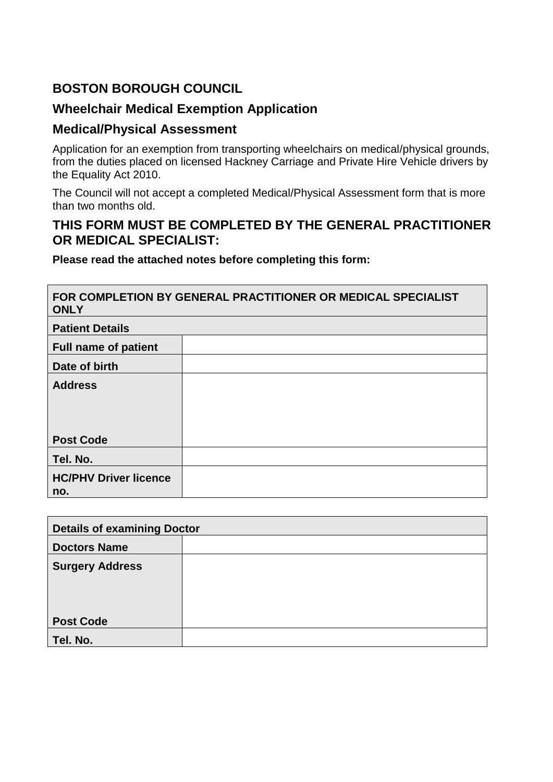## **BOSTON BOROUGH COUNCIL**

## **Wheelchair Medical Exemption Application**

# **Medical/Physical Assessment**

*<u> <b>1 <b>*</u>

Application for an exemption from transporting wheelchairs on medical/physical grounds, from the duties placed on licensed Hackney Carriage and Private Hire Vehicle drivers by the Equality Act 2010.

The Council will not accept a completed Medical/Physical Assessment form that is more than two months old.

## **THIS FORM MUST BE COMPLETED BY THE GENERAL PRACTITIONER OR MEDICAL SPECIALIST:**

 $\overline{\phantom{0}}$ 

**Please read the attached notes before completing this form:**

| FOR COMPLETION BY GENERAL PRACTITIONER OR MEDICAL SPECIALIST<br><b>ONLY</b> |  |  |  |  |  |
|-----------------------------------------------------------------------------|--|--|--|--|--|
| <b>Patient Details</b>                                                      |  |  |  |  |  |
| <b>Full name of patient</b>                                                 |  |  |  |  |  |
| Date of birth                                                               |  |  |  |  |  |
| <b>Address</b>                                                              |  |  |  |  |  |
|                                                                             |  |  |  |  |  |
|                                                                             |  |  |  |  |  |
| <b>Post Code</b>                                                            |  |  |  |  |  |
| Tel. No.                                                                    |  |  |  |  |  |
| <b>HC/PHV Driver licence</b>                                                |  |  |  |  |  |
| no.                                                                         |  |  |  |  |  |

| <b>Details of examining Doctor</b> |  |  |  |  |
|------------------------------------|--|--|--|--|
| <b>Doctors Name</b>                |  |  |  |  |
| <b>Surgery Address</b>             |  |  |  |  |
|                                    |  |  |  |  |
|                                    |  |  |  |  |
| <b>Post Code</b>                   |  |  |  |  |
| Tel. No.                           |  |  |  |  |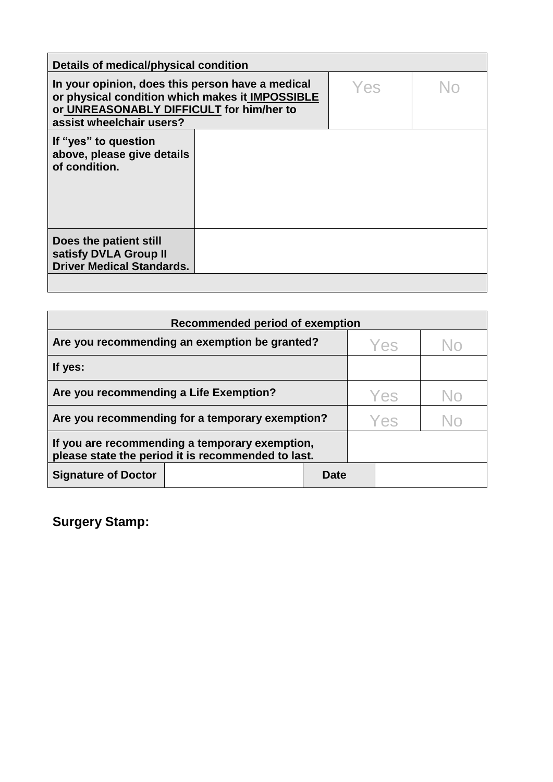| Details of medical/physical condition                                                                                                                                       |  |     |    |  |  |  |
|-----------------------------------------------------------------------------------------------------------------------------------------------------------------------------|--|-----|----|--|--|--|
| In your opinion, does this person have a medical<br>or physical condition which makes it IMPOSSIBLE<br>or UNREASONABLY DIFFICULT for him/her to<br>assist wheelchair users? |  | Yes | Nr |  |  |  |
| If "yes" to question<br>above, please give details<br>of condition.                                                                                                         |  |     |    |  |  |  |
| Does the patient still<br>satisfy DVLA Group II<br><b>Driver Medical Standards.</b>                                                                                         |  |     |    |  |  |  |

| <b>Recommended period of exemption</b>                                                               |      |     |    |  |  |
|------------------------------------------------------------------------------------------------------|------|-----|----|--|--|
| Are you recommending an exemption be granted?                                                        |      | Yes |    |  |  |
| If yes:                                                                                              |      |     |    |  |  |
| Are you recommending a Life Exemption?                                                               |      | Yes | No |  |  |
| Are you recommending for a temporary exemption?                                                      |      | Yes |    |  |  |
| If you are recommending a temporary exemption,<br>please state the period it is recommended to last. |      |     |    |  |  |
| <b>Signature of Doctor</b>                                                                           | Date |     |    |  |  |

**Surgery Stamp:**